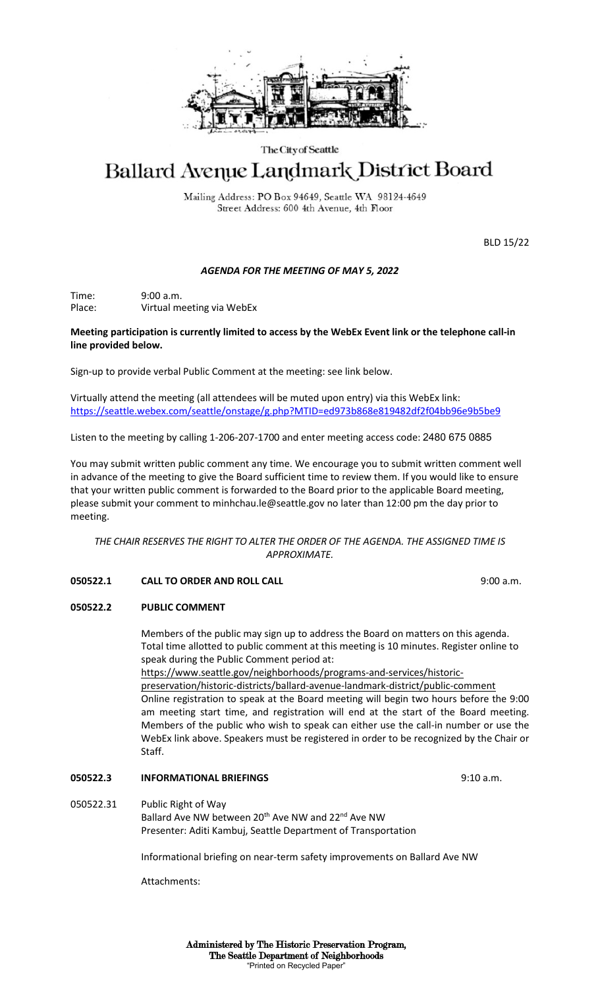

#### The City of Seattle

# Ballard Avenue Landmark District Board

Mailing Address: PO Box 94649, Seattle WA 98124-4649 Street Address: 600 4th Avenue, 4th Floor

BLD 15/22

### *AGENDA FOR THE MEETING OF MAY 5, 2022*

Time: 9:00 a.m. Place: Virtual meeting via WebEx

#### **Meeting participation is currently limited to access by the WebEx Event link or the telephone call-in line provided below.**

Sign-up to provide verbal Public Comment at the meeting: see link below.

Virtually attend the meeting (all attendees will be muted upon entry) via this WebEx link: <https://seattle.webex.com/seattle/onstage/g.php?MTID=ed973b868e819482df2f04bb96e9b5be9>

Listen to the meeting by calling 1-206-207-1700 and enter meeting access code: 2480 675 0885

You may submit written public comment any time. We encourage you to submit written comment well in advance of the meeting to give the Board sufficient time to review them. If you would like to ensure that your written public comment is forwarded to the Board prior to the applicable Board meeting, please submit your comment to minhchau.le@seattle.gov no later than 12:00 pm the day prior to meeting.

*THE CHAIR RESERVES THE RIGHT TO ALTER THE ORDER OF THE AGENDA. THE ASSIGNED TIME IS APPROXIMATE.*

### **050522.1 CALL TO ORDER AND ROLL CALL** 9:00 a.m.

## **050522.2 PUBLIC COMMENT**

Members of the public may sign up to address the Board on matters on this agenda. Total time allotted to public comment at this meeting is 10 minutes. Register online to speak during the Public Comment period at:

https://www.seattle.gov/neighborhoods/programs-and-services/historicpreservation/historic-districts/ballard-avenue-landmark-district/public-comment Online registration to speak at the Board meeting will begin two hours before the 9:00 am meeting start time, and registration will end at the start of the Board meeting. Members of the public who wish to speak can either use the call-in number or use the WebEx link above. Speakers must be registered in order to be recognized by the Chair or Staff.

### **050522.3 INFORMATIONAL BRIEFINGS** 9:10 a.m.

050522.31 Public Right of Way Ballard Ave NW between 20<sup>th</sup> Ave NW and 22<sup>nd</sup> Ave NW Presenter: Aditi Kambuj, Seattle Department of Transportation

Informational briefing on near-term safety improvements on Ballard Ave NW

Attachments: